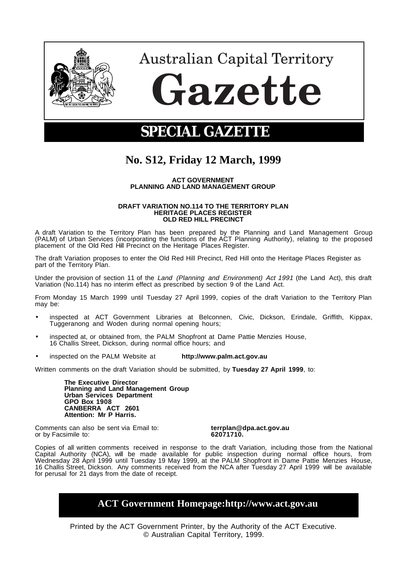

**Australian Capital Territory iazette** 

# **SPECIAL GAZETTE**

## **No. S12, Friday 12 March, 1999**

#### **ACT GOVERNMENT PLANNING AND LAND MANAGEMENT GROUP**

#### **DRAFT VARIATION NO.114 TO THE TERRITORY PLAN HERITAGE PLACES REGISTER OLD RED HILL PRECINCT**

A draft Variation to the Territory Plan has been prepared by the Planning and Land Management Group (PALM) of Urban Services (incorporating the functions of the ACT Planning Authority), relating to the proposed placement of the Old Red Hill Precinct on the Heritage Places Register.

The draft Variation proposes to enter the Old Red Hill Precinct, Red Hill onto the Heritage Places Register as part of the Territory Plan.

Under the provision of section 11 of the Land (Planning and Environment) Act 1991 (the Land Act), this draft Variation (No.114) has no interim effect as prescribed by section 9 of the Land Act.

From Monday 15 March 1999 until Tuesday 27 April 1999, copies of the draft Variation to the Territory Plan may be:

- inspected at ACT Government Libraries at Belconnen, Civic, Dickson, Erindale, Griffith, Kippax, Tuggeranong and Woden during normal opening hours;
- inspected at, or obtained from, the PALM Shopfront at Dame Pattie Menzies House, 16 Challis Street, Dickson, during normal office hours; and
- inspected on the PALM Website at **http://www.palm.act.gov.au**

Written comments on the draft Variation should be submitted, by **Tuesday 27 April 1999**, to:

**The Executive Director Planning and Land Management Group Urban Services Department GPO Box 1908 CANBERRA ACT 2601 Attention: Mr P Harris.**

Comments can also be sent via Email to: **terrplan@dpa.act.gov.au** or by Facsimile to:

Copies of all written comments received in response to the draft Variation, including those from the National Capital Authority (NCA), will be made available for public inspection during normal office hours, from Wednesday 28 April 1999 until Tuesday 19 May 1999, at the PALM Shopfront in Dame Pattie Menzies House, 16 Challis Street, Dickson. Any comments received from the NCA after Tuesday 27 April 1999 will be available for perusal for 21 days from the date of receipt.

## **ACT Government Homepage:http://www.act.gov.au**

Printed by the ACT Government Printer, by the Authority of the ACT Executive. © Australian Capital Territory, 1999.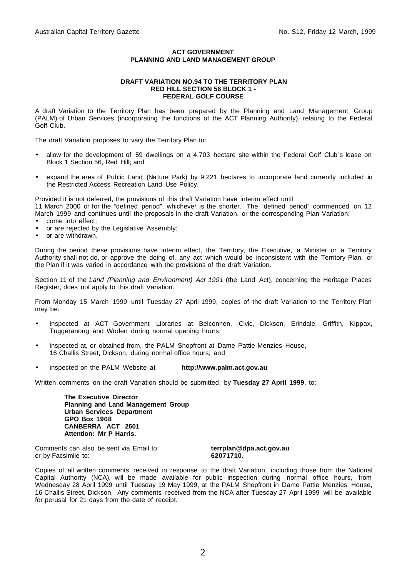#### **ACT GOVERNMENT PLANNING AND LAND MANAGEMENT GROUP**

#### **DRAFT VARIATION NO.94 TO THE TERRITORY PLAN RED HILL SECTION 56 BLOCK 1 - FEDERAL GOLF COURSE**

A draft Variation to the Territory Plan has been prepared by the Planning and Land Management Group (PALM) of Urban Services (incorporating the functions of the ACT Planning Authority), relating to the Federal Golf Club.

The draft Variation proposes to vary the Territory Plan to:

- allow for the development of 59 dwellings on a 4.703 hectare site within the Federal Golf Club's lease on Block 1 Section 56, Red Hill; and
- expand the area of Public Land (Nature Park) by 9.221 hectares to incorporate land currently included in the Restricted Access Recreation Land Use Policy.

Provided it is not deferred, the provisions of this draft Variation have interim effect until 11 March 2000 or for the "defined period", whichever is the shorter. The "defined period" commenced on 12 March 1999 and continues until the proposals in the draft Variation, or the corresponding Plan Variation:

- come into effect;
- or are rejected by the Legislative Assembly;
- or are withdrawn.

During the period these provisions have interim effect, the Territory, the Executive, a Minister or a Territory Authority shall not do, or approve the doing of, any act which would be inconsistent with the Territory Plan, or the Plan if it was varied in accordance with the provisions of the draft Variation.

Section 11 of the Land (Planning and Environment) Act 1991 (the Land Act), concerning the Heritage Places Register, does not apply to this draft Variation.

From Monday 15 March 1999 until Tuesday 27 April 1999, copies of the draft Variation to the Territory Plan may be:

- inspected at ACT Government Libraries at Belconnen, Civic, Dickson, Erindale, Griffith, Kippax, Tuggeranong and Woden during normal opening hours;
- inspected at, or obtained from, the PALM Shopfront at Dame Pattie Menzies House, 16 Challis Street, Dickson, during normal office hours; and
- inspected on the PALM Website at **http://www.palm.act.gov.au**

Written comments on the draft Variation should be submitted, by **Tuesday 27 April 1999**, to:

**The Executive Director Planning and Land Management Group Urban Services Department GPO Box 1908 CANBERRA ACT 2601 Attention: Mr P Harris.**

Comments can also be sent via Email to: **terrplan@dpa.act.gov.au** or by Facsimile to: **62071710.**

Copies of all written comments received in response to the draft Variation, including those from the National Capital Authority (NCA), will be made available for public inspection during normal office hours, from Wednesday 28 April 1999 until Tuesday 19 May 1999, at the PALM Shopfront in Dame Pattie Menzies House, 16 Challis Street, Dickson. Any comments received from the NCA after Tuesday 27 April 1999 will be available for perusal for 21 days from the date of receipt.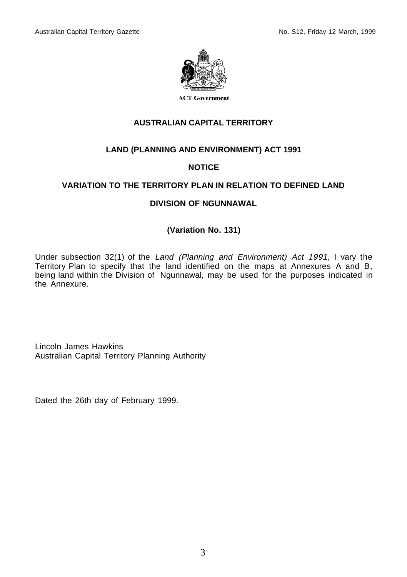

#### **AUSTRALIAN CAPITAL TERRITORY**

## **LAND (PLANNING AND ENVIRONMENT) ACT 1991**

## **NOTICE**

#### **VARIATION TO THE TERRITORY PLAN IN RELATION TO DEFINED LAND**

#### **DIVISION OF NGUNNAWAL**

#### **(Variation No. 131)**

Under subsection 32(1) of the Land (Planning and Environment) Act 1991, I vary the Territory Plan to specify that the land identified on the maps at Annexures A and B, being land within the Division of Ngunnawal, may be used for the purposes indicated in the Annexure.

Lincoln James Hawkins Australian Capital Territory Planning Authority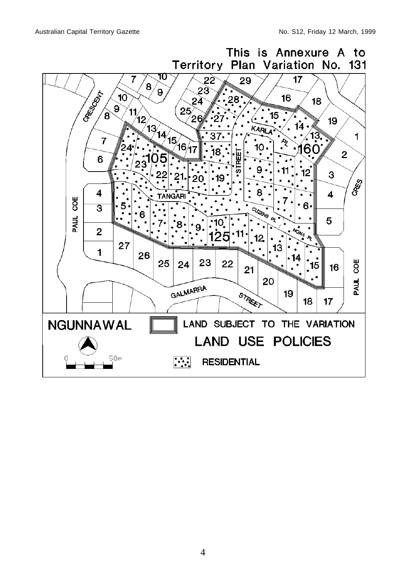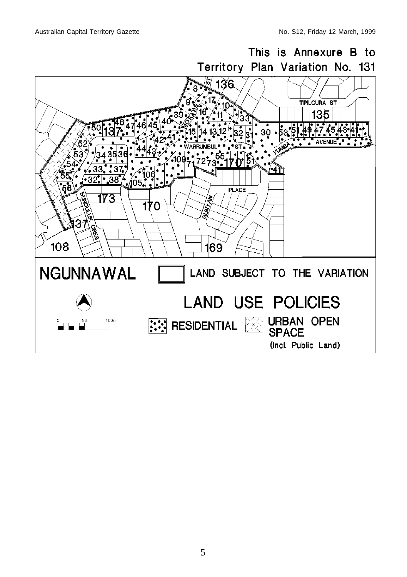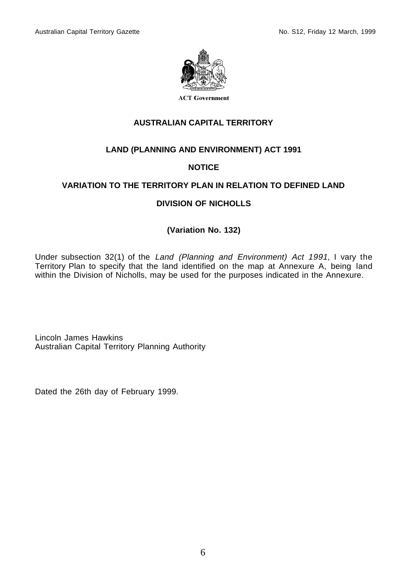

#### **AUSTRALIAN CAPITAL TERRITORY**

## **LAND (PLANNING AND ENVIRONMENT) ACT 1991**

## **NOTICE**

## **VARIATION TO THE TERRITORY PLAN IN RELATION TO DEFINED LAND**

#### **DIVISION OF NICHOLLS**

#### **(Variation No. 132)**

Under subsection 32(1) of the Land (Planning and Environment) Act 1991, I vary the Territory Plan to specify that the land identified on the map at Annexure A, being land within the Division of Nicholls, may be used for the purposes indicated in the Annexure.

Lincoln James Hawkins Australian Capital Territory Planning Authority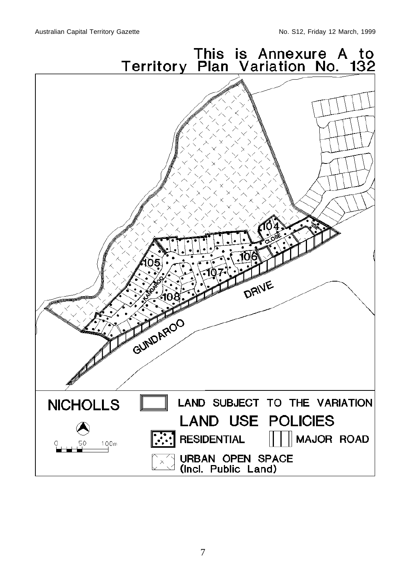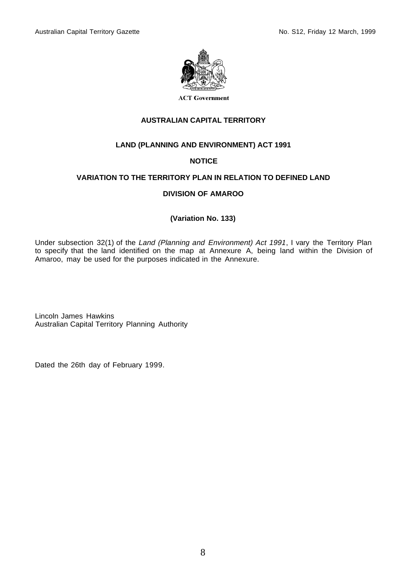

#### **AUSTRALIAN CAPITAL TERRITORY**

#### **LAND (PLANNING AND ENVIRONMENT) ACT 1991**

#### **NOTICE**

## **VARIATION TO THE TERRITORY PLAN IN RELATION TO DEFINED LAND**

#### **DIVISION OF AMAROO**

#### **(Variation No. 133)**

Under subsection 32(1) of the Land (Planning and Environment) Act 1991, I vary the Territory Plan to specify that the land identified on the map at Annexure A, being land within the Division of Amaroo, may be used for the purposes indicated in the Annexure.

Lincoln James Hawkins Australian Capital Territory Planning Authority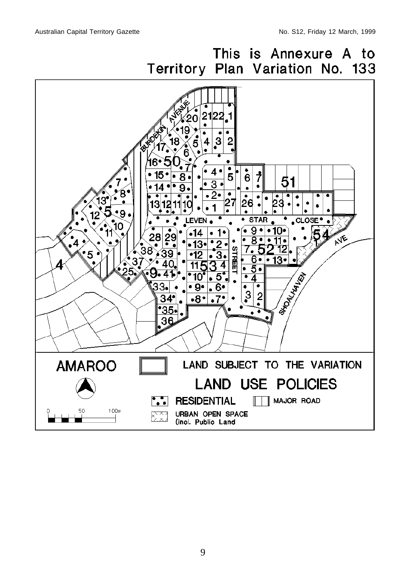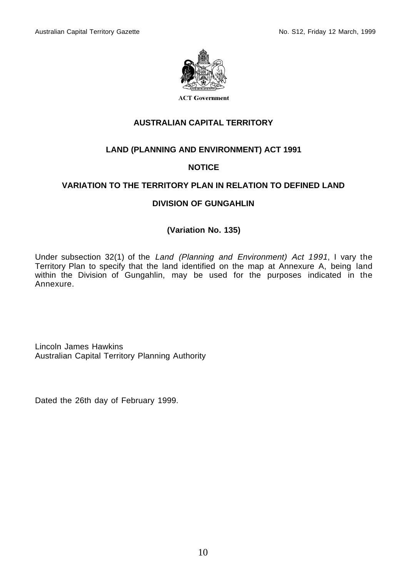

#### **AUSTRALIAN CAPITAL TERRITORY**

## **LAND (PLANNING AND ENVIRONMENT) ACT 1991**

## **NOTICE**

## **VARIATION TO THE TERRITORY PLAN IN RELATION TO DEFINED LAND**

#### **DIVISION OF GUNGAHLIN**

#### **(Variation No. 135)**

Under subsection 32(1) of the Land (Planning and Environment) Act 1991, I vary the Territory Plan to specify that the land identified on the map at Annexure A, being land within the Division of Gungahlin, may be used for the purposes indicated in the Annexure.

Lincoln James Hawkins Australian Capital Territory Planning Authority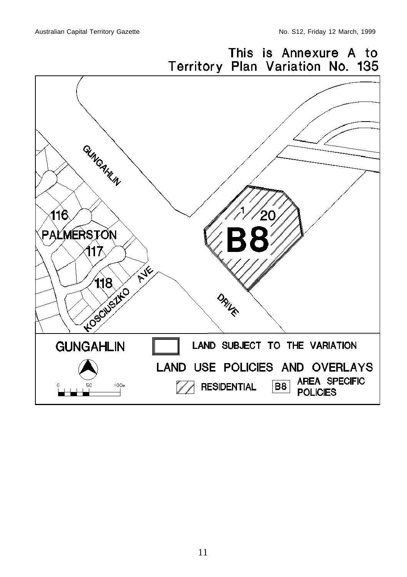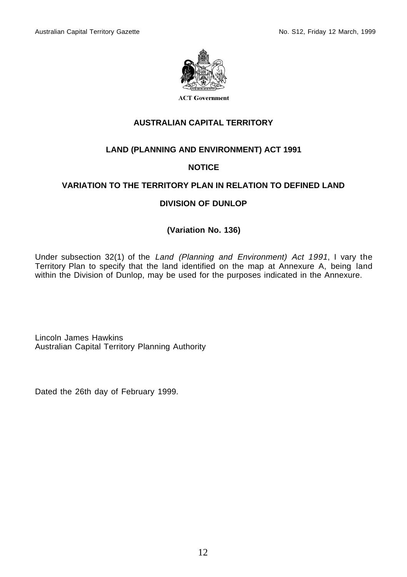

#### **AUSTRALIAN CAPITAL TERRITORY**

## **LAND (PLANNING AND ENVIRONMENT) ACT 1991**

## **NOTICE**

## **VARIATION TO THE TERRITORY PLAN IN RELATION TO DEFINED LAND**

#### **DIVISION OF DUNLOP**

#### **(Variation No. 136)**

Under subsection 32(1) of the Land (Planning and Environment) Act 1991, I vary the Territory Plan to specify that the land identified on the map at Annexure A, being land within the Division of Dunlop, may be used for the purposes indicated in the Annexure.

Lincoln James Hawkins Australian Capital Territory Planning Authority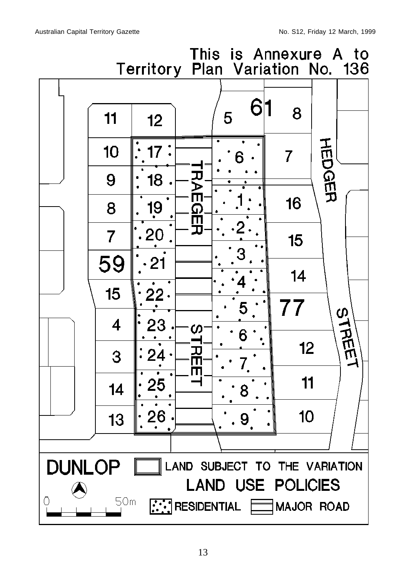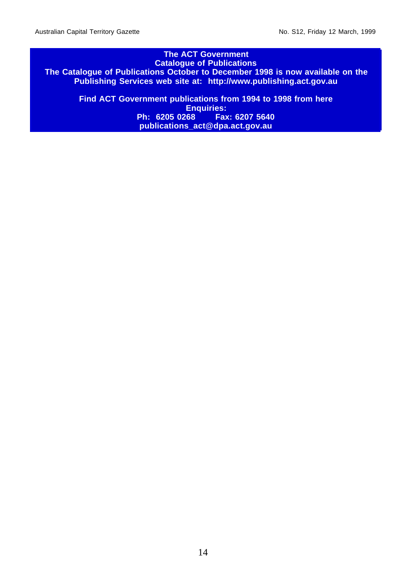#### **The ACT Government Catalogue of Publications The Catalogue of Publications October to December 1998 is now available on the Publishing Services web site at: http://www.publishing.act.gov.au**

**Find ACT Government publications from 1994 to 1998 from here Enquiries: Ph: 6205 0268 publications\_act@dpa.act.gov.au**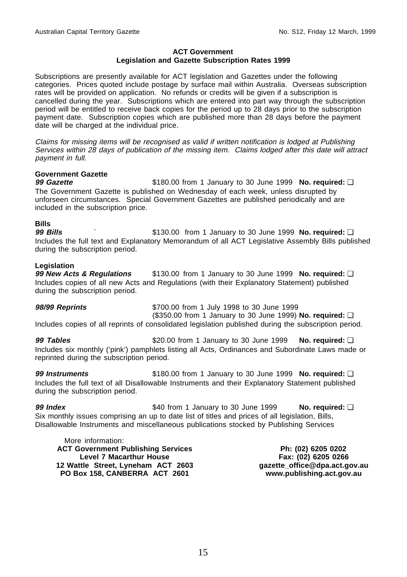#### **ACT Government Legislation and Gazette Subscription Rates 1999**

Subscriptions are presently available for ACT legislation and Gazettes under the following categories. Prices quoted include postage by surface mail within Australia. Overseas subscription rates will be provided on application. No refunds or credits will be given if a subscription is cancelled during the year. Subscriptions which are entered into part way through the subscription period will be entitled to receive back copies for the period up to 28 days prior to the subscription payment date. Subscription copies which are published more than 28 days before the payment date will be charged at the individual price.

Claims for missing items will be recognised as valid if written notification is lodged at Publishing Services within 28 days of publication of the missing item. Claims lodged after this date will attract payment in full.

#### **Government Gazette**

**99 Gazette be a \$180.00 from 1 January to 30 June 1999 No. required: □** The Government Gazette is published on Wednesday of each week, unless disrupted by unforseen circumstances. Special Government Gazettes are published periodically and are included in the subscription price.

#### **Bills**

**99 Bills bills bills b \$130.00** from 1 January to 30 June 1999 **No. required: □** Includes the full text and Explanatory Memorandum of all ACT Legislative Assembly Bills published during the subscription period.

#### **Legislation**

**99 New Acts & Regulations** \$130.00 from 1 January to 30 June 1999 **No. required: □** Includes copies of all new Acts and Regulations (with their Explanatory Statement) published during the subscription period.

**98/99 Reprints** \$700.00 from 1 July 1998 to 30 June 1999

(\$350.00 from 1 January to 30 June 1999) **No. required:** ❏ Includes copies of all reprints of consolidated legislation published during the subscription period.

**99 Tables** \$20.00 from 1 January to 30 June 1999 **No. required:** ❏ Includes six monthly ('pink') pamphlets listing all Acts, Ordinances and Subordinate Laws made or reprinted during the subscription period.

**99 Instruments** \$180.00 from 1 January to 30 June 1999 **No. required:** ❏ Includes the full text of all Disallowable Instruments and their Explanatory Statement published during the subscription period.

**99 Index because that the set of \$40 from 1 January to 30 June 1999 <b>No. required: □** Six monthly issues comprising an up to date list of titles and prices of all legislation, Bills, Disallowable Instruments and miscellaneous publications stocked by Publishing Services

More information: **ACT Government Publishing Services Level 7 Macarthur House 12 Wattle Street, Lyneham ACT 2603 PO Box 158, CANBERRA ACT 2601**

**Ph: (02) 6205 0202 Fax: (02) 6205 0266 gazette\_office@dpa.act.gov.au www.publishing.act.gov.au**